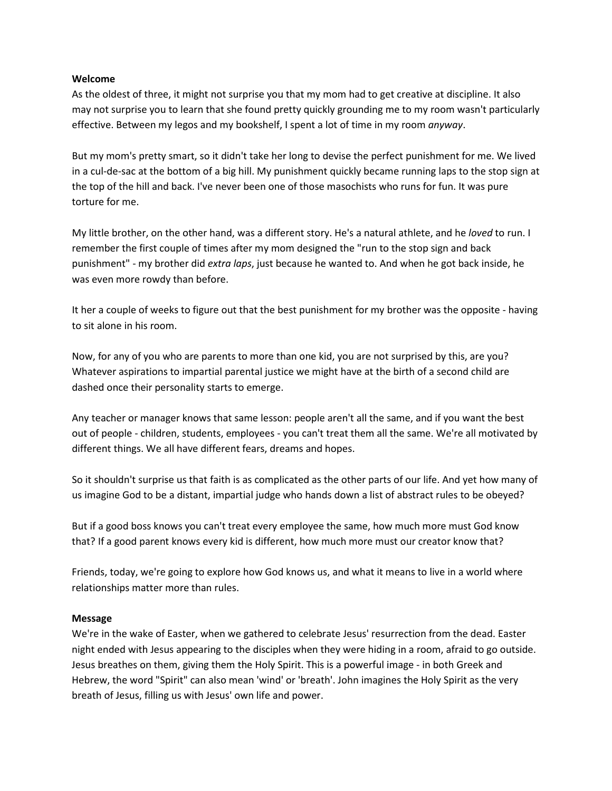#### **Welcome**

As the oldest of three, it might not surprise you that my mom had to get creative at discipline. It also may not surprise you to learn that she found pretty quickly grounding me to my room wasn't particularly effective. Between my legos and my bookshelf, I spent a lot of time in my room *anyway*.

But my mom's pretty smart, so it didn't take her long to devise the perfect punishment for me. We lived in a cul-de-sac at the bottom of a big hill. My punishment quickly became running laps to the stop sign at the top of the hill and back. I've never been one of those masochists who runs for fun. It was pure torture for me.

My little brother, on the other hand, was a different story. He's a natural athlete, and he *loved* to run. I remember the first couple of times after my mom designed the "run to the stop sign and back punishment" - my brother did *extra laps*, just because he wanted to. And when he got back inside, he was even more rowdy than before.

It her a couple of weeks to figure out that the best punishment for my brother was the opposite - having to sit alone in his room.

Now, for any of you who are parents to more than one kid, you are not surprised by this, are you? Whatever aspirations to impartial parental justice we might have at the birth of a second child are dashed once their personality starts to emerge.

Any teacher or manager knows that same lesson: people aren't all the same, and if you want the best out of people - children, students, employees - you can't treat them all the same. We're all motivated by different things. We all have different fears, dreams and hopes.

So it shouldn't surprise us that faith is as complicated as the other parts of our life. And yet how many of us imagine God to be a distant, impartial judge who hands down a list of abstract rules to be obeyed?

But if a good boss knows you can't treat every employee the same, how much more must God know that? If a good parent knows every kid is different, how much more must our creator know that?

Friends, today, we're going to explore how God knows us, and what it means to live in a world where relationships matter more than rules.

## **Message**

We're in the wake of Easter, when we gathered to celebrate Jesus' resurrection from the dead. Easter night ended with Jesus appearing to the disciples when they were hiding in a room, afraid to go outside. Jesus breathes on them, giving them the Holy Spirit. This is a powerful image - in both Greek and Hebrew, the word "Spirit" can also mean 'wind' or 'breath'. John imagines the Holy Spirit as the very breath of Jesus, filling us with Jesus' own life and power.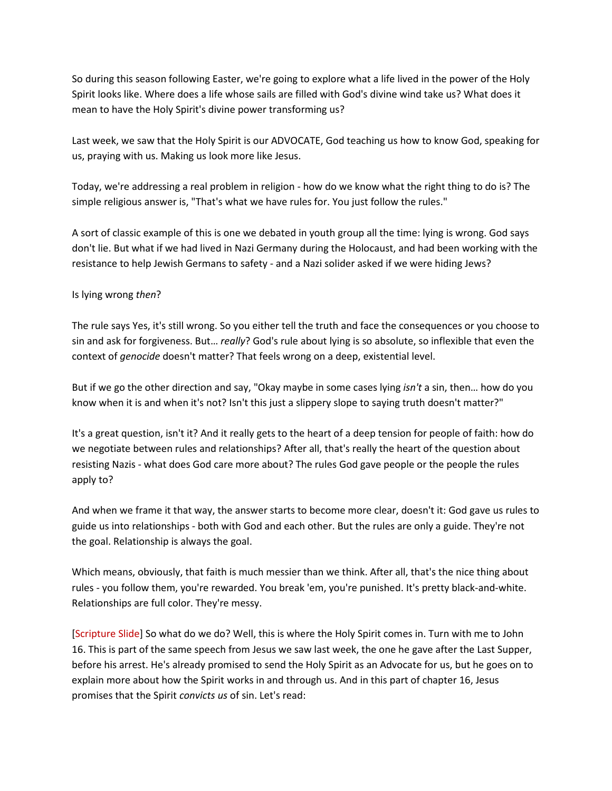So during this season following Easter, we're going to explore what a life lived in the power of the Holy Spirit looks like. Where does a life whose sails are filled with God's divine wind take us? What does it mean to have the Holy Spirit's divine power transforming us?

Last week, we saw that the Holy Spirit is our ADVOCATE, God teaching us how to know God, speaking for us, praying with us. Making us look more like Jesus.

Today, we're addressing a real problem in religion - how do we know what the right thing to do is? The simple religious answer is, "That's what we have rules for. You just follow the rules."

A sort of classic example of this is one we debated in youth group all the time: lying is wrong. God says don't lie. But what if we had lived in Nazi Germany during the Holocaust, and had been working with the resistance to help Jewish Germans to safety - and a Nazi solider asked if we were hiding Jews?

## Is lying wrong *then*?

The rule says Yes, it's still wrong. So you either tell the truth and face the consequences or you choose to sin and ask for forgiveness. But… *really*? God's rule about lying is so absolute, so inflexible that even the context of *genocide* doesn't matter? That feels wrong on a deep, existential level.

But if we go the other direction and say, "Okay maybe in some cases lying *isn't* a sin, then… how do you know when it is and when it's not? Isn't this just a slippery slope to saying truth doesn't matter?"

It's a great question, isn't it? And it really gets to the heart of a deep tension for people of faith: how do we negotiate between rules and relationships? After all, that's really the heart of the question about resisting Nazis - what does God care more about? The rules God gave people or the people the rules apply to?

And when we frame it that way, the answer starts to become more clear, doesn't it: God gave us rules to guide us into relationships - both with God and each other. But the rules are only a guide. They're not the goal. Relationship is always the goal.

Which means, obviously, that faith is much messier than we think. After all, that's the nice thing about rules - you follow them, you're rewarded. You break 'em, you're punished. It's pretty black-and-white. Relationships are full color. They're messy.

[Scripture Slide] So what do we do? Well, this is where the Holy Spirit comes in. Turn with me to John 16. This is part of the same speech from Jesus we saw last week, the one he gave after the Last Supper, before his arrest. He's already promised to send the Holy Spirit as an Advocate for us, but he goes on to explain more about how the Spirit works in and through us. And in this part of chapter 16, Jesus promises that the Spirit *convicts us* of sin. Let's read: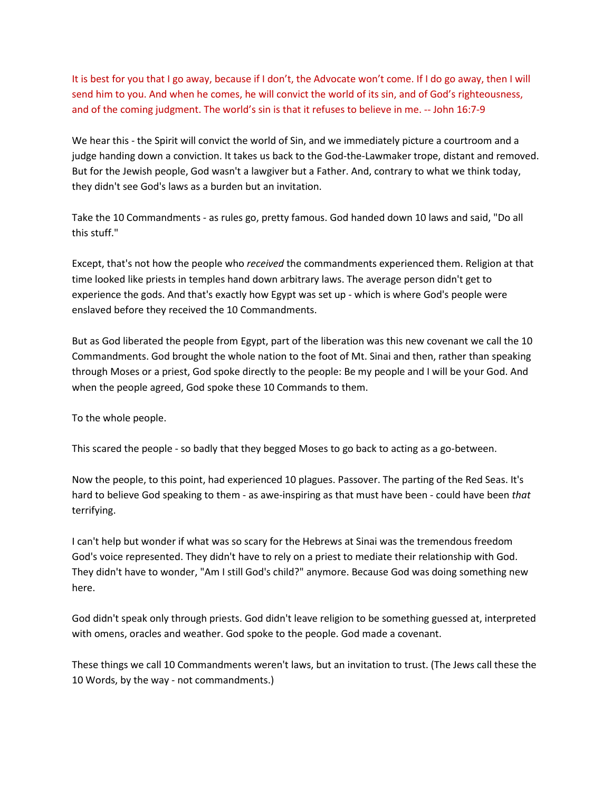It is best for you that I go away, because if I don't, the Advocate won't come. If I do go away, then I will send him to you. And when he comes, he will convict the world of its sin, and of God's righteousness, and of the coming judgment. The world's sin is that it refuses to believe in me. -- John 16:7-9

We hear this - the Spirit will convict the world of Sin, and we immediately picture a courtroom and a judge handing down a conviction. It takes us back to the God-the-Lawmaker trope, distant and removed. But for the Jewish people, God wasn't a lawgiver but a Father. And, contrary to what we think today, they didn't see God's laws as a burden but an invitation.

Take the 10 Commandments - as rules go, pretty famous. God handed down 10 laws and said, "Do all this stuff."

Except, that's not how the people who *received* the commandments experienced them. Religion at that time looked like priests in temples hand down arbitrary laws. The average person didn't get to experience the gods. And that's exactly how Egypt was set up - which is where God's people were enslaved before they received the 10 Commandments.

But as God liberated the people from Egypt, part of the liberation was this new covenant we call the 10 Commandments. God brought the whole nation to the foot of Mt. Sinai and then, rather than speaking through Moses or a priest, God spoke directly to the people: Be my people and I will be your God. And when the people agreed, God spoke these 10 Commands to them.

To the whole people.

This scared the people - so badly that they begged Moses to go back to acting as a go-between.

Now the people, to this point, had experienced 10 plagues. Passover. The parting of the Red Seas. It's hard to believe God speaking to them - as awe-inspiring as that must have been - could have been *that*  terrifying.

I can't help but wonder if what was so scary for the Hebrews at Sinai was the tremendous freedom God's voice represented. They didn't have to rely on a priest to mediate their relationship with God. They didn't have to wonder, "Am I still God's child?" anymore. Because God was doing something new here.

God didn't speak only through priests. God didn't leave religion to be something guessed at, interpreted with omens, oracles and weather. God spoke to the people. God made a covenant.

These things we call 10 Commandments weren't laws, but an invitation to trust. (The Jews call these the 10 Words, by the way - not commandments.)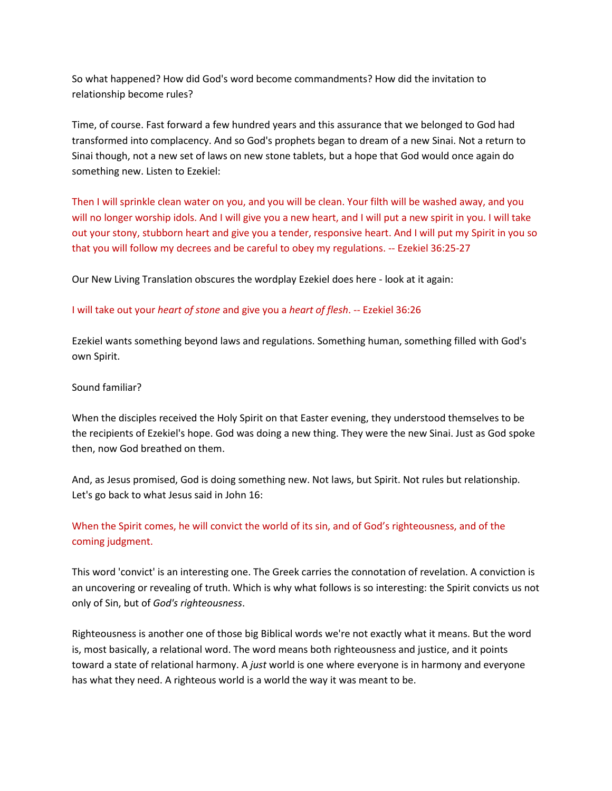So what happened? How did God's word become commandments? How did the invitation to relationship become rules?

Time, of course. Fast forward a few hundred years and this assurance that we belonged to God had transformed into complacency. And so God's prophets began to dream of a new Sinai. Not a return to Sinai though, not a new set of laws on new stone tablets, but a hope that God would once again do something new. Listen to Ezekiel:

Then I will sprinkle clean water on you, and you will be clean. Your filth will be washed away, and you will no longer worship idols. And I will give you a new heart, and I will put a new spirit in you. I will take out your stony, stubborn heart and give you a tender, responsive heart. And I will put my Spirit in you so that you will follow my decrees and be careful to obey my regulations. -- Ezekiel 36:25-27

Our New Living Translation obscures the wordplay Ezekiel does here - look at it again:

#### I will take out your *heart of stone* and give you a *heart of flesh*. -- Ezekiel 36:26

Ezekiel wants something beyond laws and regulations. Something human, something filled with God's own Spirit.

#### Sound familiar?

When the disciples received the Holy Spirit on that Easter evening, they understood themselves to be the recipients of Ezekiel's hope. God was doing a new thing. They were the new Sinai. Just as God spoke then, now God breathed on them.

And, as Jesus promised, God is doing something new. Not laws, but Spirit. Not rules but relationship. Let's go back to what Jesus said in John 16:

# When the Spirit comes, he will convict the world of its sin, and of God's righteousness, and of the coming judgment.

This word 'convict' is an interesting one. The Greek carries the connotation of revelation. A conviction is an uncovering or revealing of truth. Which is why what follows is so interesting: the Spirit convicts us not only of Sin, but of *God's righteousness*.

Righteousness is another one of those big Biblical words we're not exactly what it means. But the word is, most basically, a relational word. The word means both righteousness and justice, and it points toward a state of relational harmony. A *just* world is one where everyone is in harmony and everyone has what they need. A righteous world is a world the way it was meant to be.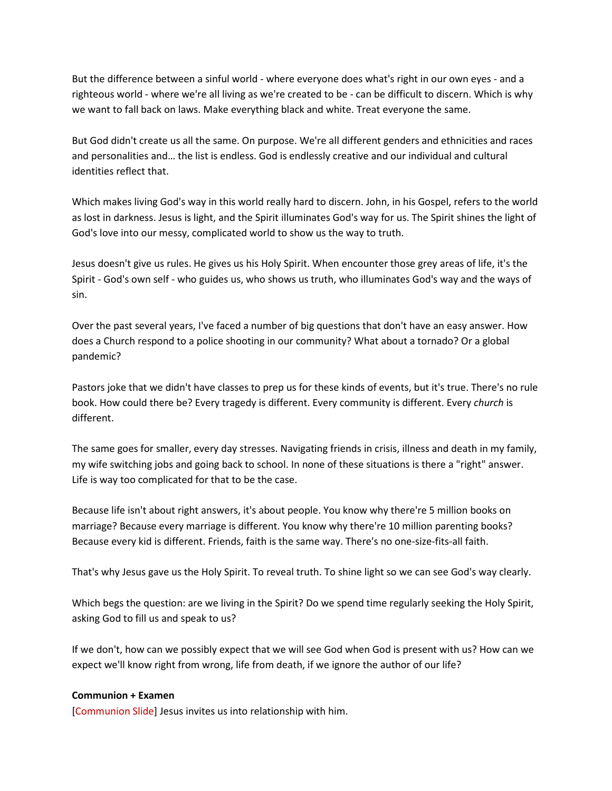But the difference between a sinful world - where everyone does what's right in our own eyes - and a righteous world - where we're all living as we're created to be - can be difficult to discern. Which is why we want to fall back on laws. Make everything black and white. Treat everyone the same.

But God didn't create us all the same. On purpose. We're all different genders and ethnicities and races and personalities and… the list is endless. God is endlessly creative and our individual and cultural identities reflect that.

Which makes living God's way in this world really hard to discern. John, in his Gospel, refers to the world as lost in darkness. Jesus is light, and the Spirit illuminates God's way for us. The Spirit shines the light of God's love into our messy, complicated world to show us the way to truth.

Jesus doesn't give us rules. He gives us his Holy Spirit. When encounter those grey areas of life, it's the Spirit - God's own self - who guides us, who shows us truth, who illuminates God's way and the ways of sin.

Over the past several years, I've faced a number of big questions that don't have an easy answer. How does a Church respond to a police shooting in our community? What about a tornado? Or a global pandemic?

Pastors joke that we didn't have classes to prep us for these kinds of events, but it's true. There's no rule book. How could there be? Every tragedy is different. Every community is different. Every *church* is different.

The same goes for smaller, every day stresses. Navigating friends in crisis, illness and death in my family, my wife switching jobs and going back to school. In none of these situations is there a "right" answer. Life is way too complicated for that to be the case.

Because life isn't about right answers, it's about people. You know why there're 5 million books on marriage? Because every marriage is different. You know why there're 10 million parenting books? Because every kid is different. Friends, faith is the same way. There's no one-size-fits-all faith.

That's why Jesus gave us the Holy Spirit. To reveal truth. To shine light so we can see God's way clearly.

Which begs the question: are we living in the Spirit? Do we spend time regularly seeking the Holy Spirit, asking God to fill us and speak to us?

If we don't, how can we possibly expect that we will see God when God is present with us? How can we expect we'll know right from wrong, life from death, if we ignore the author of our life?

## **Communion + Examen**

[Communion Slide] Jesus invites us into relationship with him.